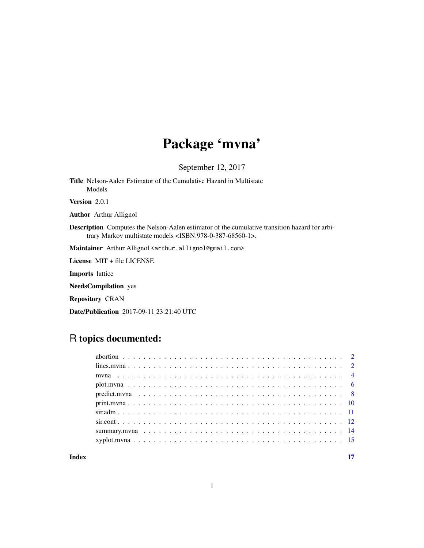## Package 'mvna'

September 12, 2017

<span id="page-0-0"></span>Title Nelson-Aalen Estimator of the Cumulative Hazard in Multistate Models Version 2.0.1

Author Arthur Allignol

Description Computes the Nelson-Aalen estimator of the cumulative transition hazard for arbitrary Markov multistate models <ISBN:978-0-387-68560-1>.

Maintainer Arthur Allignol <arthur.allignol@gmail.com>

License MIT + file LICENSE

Imports lattice

NeedsCompilation yes

Repository CRAN

Date/Publication 2017-09-11 23:21:40 UTC

## R topics documented:

| Index |  |
|-------|--|
|       |  |
|       |  |
|       |  |
|       |  |
|       |  |
|       |  |
|       |  |
|       |  |
|       |  |
|       |  |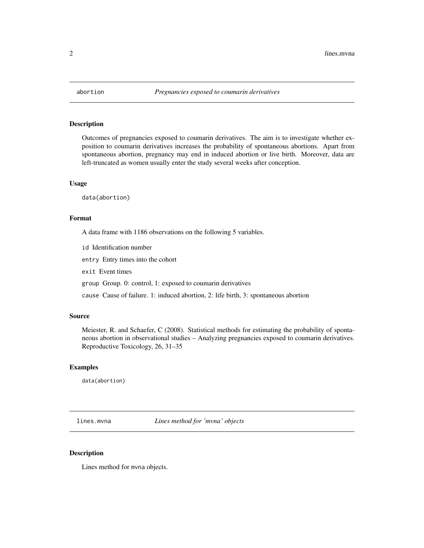<span id="page-1-0"></span>

## Description

Outcomes of pregnancies exposed to coumarin derivatives. The aim is to investigate whether exposition to coumarin derivatives increases the probability of spontaneous abortions. Apart from spontaneous abortion, pregnancy may end in induced abortion or live birth. Moreover, data are left-truncated as women usually enter the study several weeks after conception.

## Usage

data(abortion)

## Format

A data frame with 1186 observations on the following 5 variables.

id Identification number

entry Entry times into the cohort

exit Event times

group Group. 0: control, 1: exposed to coumarin derivatives

cause Cause of failure. 1: induced abortion, 2: life birth, 3: spontaneous abortion

#### Source

Meiester, R. and Schaefer, C (2008). Statistical methods for estimating the probability of spontaneous abortion in observational studies – Analyzing pregnancies exposed to coumarin derivatives. Reproductive Toxicology, 26, 31–35

#### Examples

data(abortion)

lines.mvna *Lines method for 'mvna' objects*

## Description

Lines method for mvna objects.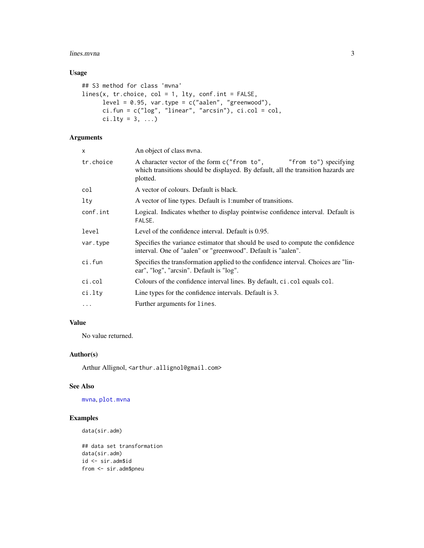#### <span id="page-2-0"></span>lines.mvna 3

## Usage

```
## S3 method for class 'mvna'
lines(x, tr.choice, col = 1, lty, conf.int = FALSE,level = 0.95, var.type = c("aalen", "greenwood"),
      ci.fun = c("log", "linear", "arcsin"), ci,col = col,\text{ci.} \text{lty} = 3, \ldots
```
## Arguments

| x         | An object of class mvna.                                                                                                                                           |
|-----------|--------------------------------------------------------------------------------------------------------------------------------------------------------------------|
| tr.choice | A character vector of the form c''from to", "from to") specifying<br>which transitions should be displayed. By default, all the transition hazards are<br>plotted. |
| col       | A vector of colours. Default is black.                                                                                                                             |
| ltv       | A vector of line types. Default is 1:number of transitions.                                                                                                        |
| conf.int  | Logical. Indicates whether to display pointwise confidence interval. Default is<br>FALSE.                                                                          |
| level     | Level of the confidence interval. Default is 0.95.                                                                                                                 |
| var.type  | Specifies the variance estimator that should be used to compute the confidence<br>interval. One of "aalen" or "greenwood". Default is "aalen".                     |
| ci.fun    | Specifies the transformation applied to the confidence interval. Choices are "lin-<br>ear", "log", "arcsin". Default is "log".                                     |
| ci.col    | Colours of the confidence interval lines. By default, ci. col equals col.                                                                                          |
| ci.lty    | Line types for the confidence intervals. Default is 3.                                                                                                             |
| $\cdots$  | Further arguments for lines.                                                                                                                                       |
|           |                                                                                                                                                                    |

## Value

No value returned.

## Author(s)

Arthur Allignol, <arthur.allignol@gmail.com>

## See Also

[mvna](#page-3-1), [plot.mvna](#page-5-1)

## Examples

```
data(sir.adm)
```
## data set transformation data(sir.adm) id <- sir.adm\$id from <- sir.adm\$pneu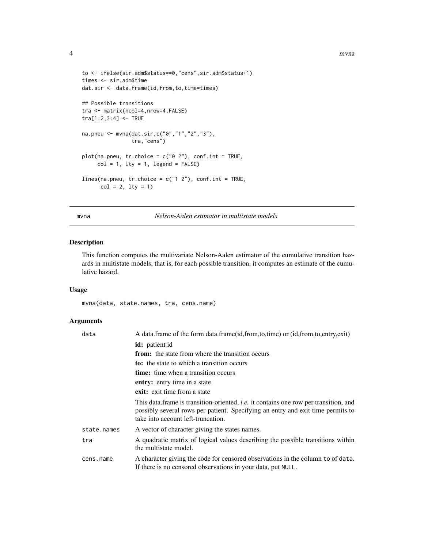```
to <- ifelse(sir.adm$status==0,"cens",sir.adm$status+1)
times <- sir.adm$time
dat.sir <- data.frame(id,from,to,time=times)
## Possible transitions
tra <- matrix(ncol=4,nrow=4,FALSE)
tra[1:2,3:4] <- TRUE
na.pneu <- mvna(dat.sir,c("0","1","2","3"),
                 tra,"cens")
plot(na.pneu, tr.choice = c("0 2"), conf.int = TRUE,col = 1, lty = 1, legend = FALSE)
lines(na.pneu, tr.\text{choice} = c("1 2"), conf.\text{int} = \text{TRUE},
      col = 2, 1ty = 1)
```
mvna *Nelson-Aalen estimator in multistate models*

## Description

This function computes the multivariate Nelson-Aalen estimator of the cumulative transition hazards in multistate models, that is, for each possible transition, it computes an estimate of the cumulative hazard.

#### Usage

mvna(data, state.names, tra, cens.name)

#### Arguments

| data        | A data.frame of the form data.frame(id,from,to,time) or (id,from,to,entry,exit)                                                                                                                                      |
|-------------|----------------------------------------------------------------------------------------------------------------------------------------------------------------------------------------------------------------------|
|             | <b>id:</b> patient id                                                                                                                                                                                                |
|             | <b>from:</b> the state from where the transition occurs                                                                                                                                                              |
|             | <b>to:</b> the state to which a transition occurs                                                                                                                                                                    |
|             | <b>time:</b> time when a transition occurs                                                                                                                                                                           |
|             | <b>entry:</b> entry time in a state                                                                                                                                                                                  |
|             | exit: exit time from a state                                                                                                                                                                                         |
|             | This data frame is transition-oriented, <i>i.e.</i> it contains one row per transition, and<br>possibly several rows per patient. Specifying an entry and exit time permits to<br>take into account left-truncation. |
| state.names | A vector of character giving the states names.                                                                                                                                                                       |
| tra         | A quadratic matrix of logical values describing the possible transitions within<br>the multistate model.                                                                                                             |
| cens.name   | A character giving the code for censored observations in the column to of data.<br>If there is no censored observations in your data, put NULL.                                                                      |

<span id="page-3-0"></span>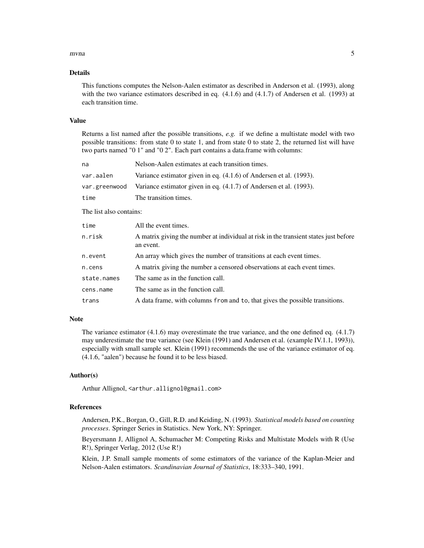#### mvna 35. stoletja i starodnika i stoletja i stoletja i stoletja i stoletja i stoletja i stoletja i stoletja i s

#### Details

This functions computes the Nelson-Aalen estimator as described in Anderson et al. (1993), along with the two variance estimators described in eq. (4.1.6) and (4.1.7) of Andersen et al. (1993) at each transition time.

### Value

Returns a list named after the possible transitions, *e.g.* if we define a multistate model with two possible transitions: from state 0 to state 1, and from state 0 to state 2, the returned list will have two parts named "0 1" and "0 2". Each part contains a data.frame with columns:

| Nelson-Aalen estimates at each transition times.                                   |
|------------------------------------------------------------------------------------|
| Variance estimator given in eq. $(4.1.6)$ of Andersen et al. (1993).               |
| var greenwood Variance estimator given in eq. $(4.1.7)$ of Andersen et al. (1993). |
| The transition times.                                                              |
|                                                                                    |

The list also contains:

| time        | All the event times.                                                                              |
|-------------|---------------------------------------------------------------------------------------------------|
| n.risk      | A matrix giving the number at individual at risk in the transient states just before<br>an event. |
| n.event     | An array which gives the number of transitions at each event times.                               |
| n.cens      | A matrix giving the number a censored observations at each event times.                           |
| state.names | The same as in the function call.                                                                 |
| cens.name   | The same as in the function call.                                                                 |
| trans       | A data frame, with columns from and to, that gives the possible transitions.                      |

## Note

The variance estimator (4.1.6) may overestimate the true variance, and the one defined eq. (4.1.7) may underestimate the true variance (see Klein (1991) and Andersen et al. (example IV.1.1, 1993)), especially with small sample set. Klein (1991) recommends the use of the variance estimator of eq. (4.1.6, "aalen") because he found it to be less biased.

## Author(s)

Arthur Allignol, <arthur.allignol@gmail.com>

## References

Andersen, P.K., Borgan, O., Gill, R.D. and Keiding, N. (1993). *Statistical models based on counting processes*. Springer Series in Statistics. New York, NY: Springer.

Beyersmann J, Allignol A, Schumacher M: Competing Risks and Multistate Models with R (Use R!), Springer Verlag, 2012 (Use R!)

Klein, J.P. Small sample moments of some estimators of the variance of the Kaplan-Meier and Nelson-Aalen estimators. *Scandinavian Journal of Statistics*, 18:333–340, 1991.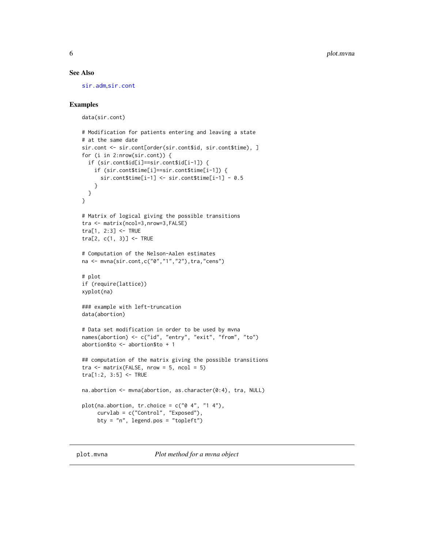#### <span id="page-5-0"></span>See Also

[sir.adm](#page-10-1),[sir.cont](#page-11-1)

## Examples

```
data(sir.cont)
```

```
# Modification for patients entering and leaving a state
# at the same date
sir.cont <- sir.cont[order(sir.cont$id, sir.cont$time), ]
for (i in 2:nrow(sir.cont)) {
 if (sir.cont$id[i]==sir.cont$id[i-1]) {
    if (sir.cont$time[i]==sir.cont$time[i-1]) {
      sir.cont$time[i-1] <- sir.cont$time[i-1] - 0.5
    }
 }
}
# Matrix of logical giving the possible transitions
tra <- matrix(ncol=3,nrow=3,FALSE)
tra[1, 2:3] <- TRUE
tra[2, c(1, 3)] <- TRUE
# Computation of the Nelson-Aalen estimates
na <- mvna(sir.cont,c("0","1","2"),tra,"cens")
# plot
if (require(lattice))
xyplot(na)
### example with left-truncation
data(abortion)
# Data set modification in order to be used by mvna
names(abortion) <- c("id", "entry", "exit", "from", "to")
abortion$to <- abortion$to + 1
## computation of the matrix giving the possible transitions
tra \leq matrix(FALSE, nrow = 5, ncol = 5)
tra[1:2, 3:5] <- TRUE
na.abortion <- mvna(abortion, as.character(0:4), tra, NULL)
plot(na.abortion, tr.choice = c("0 4", "1 4"),curvlab = c("Control", "Exposed"),
    bty = "n", legend.pos = "topleft")
```
<span id="page-5-1"></span>plot.mvna *Plot method for a mvna object*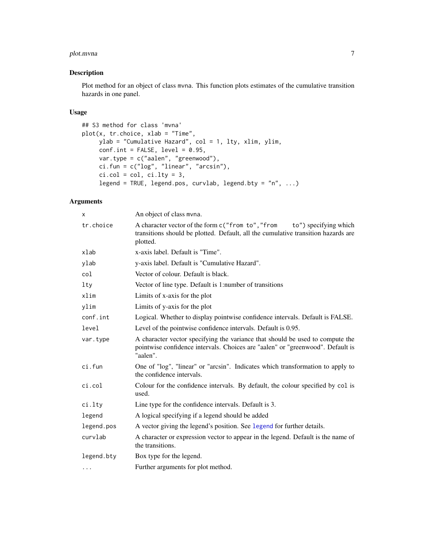#### <span id="page-6-0"></span>plot.mvna 7

## Description

Plot method for an object of class mvna. This function plots estimates of the cumulative transition hazards in one panel.

## Usage

```
## S3 method for class 'mvna'
plot(x, tr.choice, xlab = "Time",
     ylab = "Cumulative Hazard", col = 1, lty, xlim, ylim,
     conf.int = FALSE, level = 0.95,var.type = c("aalen", "greenwood"),
     ci.fun = c("log", "linear", "arcsin"),
     ci.co1 = col, ci.1ty = 3,legend = TRUE, legend.pos, curvlab, legend.bty = "n", ...)
```
## Arguments

| X          | An object of class mvna.                                                                                                                                                    |
|------------|-----------------------------------------------------------------------------------------------------------------------------------------------------------------------------|
| tr.choice  | A character vector of the form c("from to", "from<br>to") specifying which<br>transitions should be plotted. Default, all the cumulative transition hazards are<br>plotted. |
| xlab       | x-axis label. Default is "Time".                                                                                                                                            |
| ylab       | y-axis label. Default is "Cumulative Hazard".                                                                                                                               |
| col        | Vector of colour. Default is black.                                                                                                                                         |
| lty        | Vector of line type. Default is 1:number of transitions                                                                                                                     |
| xlim       | Limits of x-axis for the plot                                                                                                                                               |
| ylim       | Limits of y-axis for the plot                                                                                                                                               |
| conf.int   | Logical. Whether to display pointwise confidence intervals. Default is FALSE.                                                                                               |
| level      | Level of the pointwise confidence intervals. Default is 0.95.                                                                                                               |
| var.type   | A character vector specifying the variance that should be used to compute the<br>pointwise confidence intervals. Choices are "aalen" or "greenwood". Default is<br>"aalen". |
| ci.fun     | One of "log", "linear" or "arcsin". Indicates which transformation to apply to<br>the confidence intervals.                                                                 |
| ci.col     | Colour for the confidence intervals. By default, the colour specified by col is<br>used.                                                                                    |
| ci.lty     | Line type for the confidence intervals. Default is 3.                                                                                                                       |
| legend     | A logical specifying if a legend should be added                                                                                                                            |
| legend.pos | A vector giving the legend's position. See legend for further details.                                                                                                      |
| curvlab    | A character or expression vector to appear in the legend. Default is the name of<br>the transitions.                                                                        |
| legend.bty | Box type for the legend.                                                                                                                                                    |
| $\cdots$   | Further arguments for plot method.                                                                                                                                          |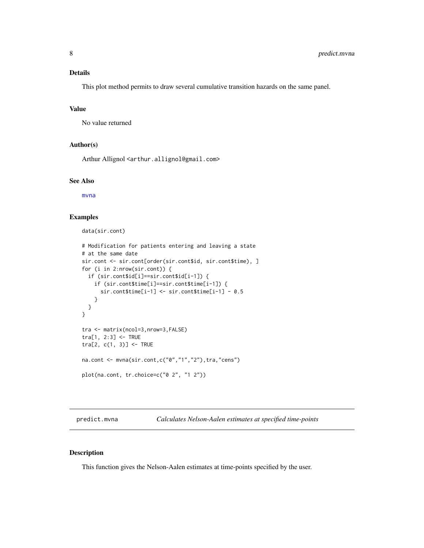## <span id="page-7-0"></span>Details

This plot method permits to draw several cumulative transition hazards on the same panel.

## Value

No value returned

## Author(s)

Arthur Allignol <arthur.allignol@gmail.com>

## See Also

[mvna](#page-3-1)

## Examples

data(sir.cont)

```
# Modification for patients entering and leaving a state
# at the same date
sir.cont <- sir.cont[order(sir.cont$id, sir.cont$time), ]
for (i in 2:nrow(sir.cont)) {
  if (sir.cont$id[i]==sir.cont$id[i-1]) {
   if (sir.cont$time[i]==sir.cont$time[i-1]) {
      sir.cont$time[i-1] <- sir.cont$time[i-1] - 0.5
    }
 }
}
tra <- matrix(ncol=3,nrow=3,FALSE)
tra[1, 2:3] <- TRUE
tra[2, c(1, 3)] <- TRUE
na.cont <- mvna(sir.cont,c("0","1","2"),tra,"cens")
plot(na.cont, tr.choice=c("0 2", "1 2"))
```
predict.mvna *Calculates Nelson-Aalen estimates at specified time-points*

## Description

This function gives the Nelson-Aalen estimates at time-points specified by the user.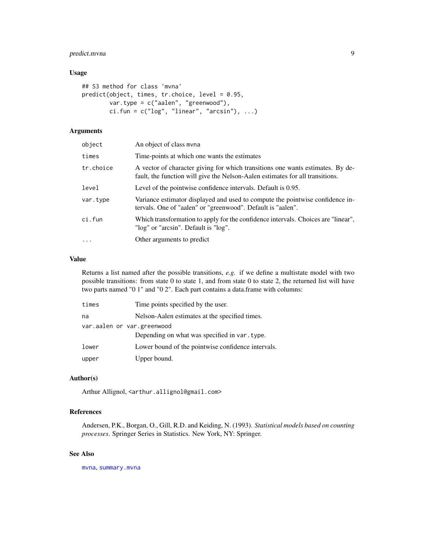## <span id="page-8-0"></span>predict.mvna 9

## Usage

```
## S3 method for class 'mvna'
predict(object, times, tr.choice, level = 0.95,
        var.type = c("aalen", "greenwood"),
        ci.fun = c("log", "linear", "arcsin"), ...
```
## Arguments

| object     | An object of class myna                                                                                                                                         |
|------------|-----------------------------------------------------------------------------------------------------------------------------------------------------------------|
| times      | Time-points at which one wants the estimates                                                                                                                    |
| tr.choice  | A vector of character giving for which transitions one wants estimates. By de-<br>fault, the function will give the Nelson-Aalen estimates for all transitions. |
| level      | Level of the pointwise confidence intervals. Default is 0.95.                                                                                                   |
| var.type   | Variance estimator displayed and used to compute the pointwise confidence in-<br>tervals. One of "aalen" or "greenwood". Default is "aalen".                    |
| ci.fun     | Which transformation to apply for the confidence intervals. Choices are "linear",<br>"log" or "arcsin". Default is "log".                                       |
| $\ddots$ . | Other arguments to predict                                                                                                                                      |
|            |                                                                                                                                                                 |

## Value

Returns a list named after the possible transitions, *e.g.* if we define a multistate model with two possible transitions: from state 0 to state 1, and from state 0 to state 2, the returned list will have two parts named "0 1" and "0 2". Each part contains a data.frame with columns:

| times                      | Time points specified by the user.                 |
|----------------------------|----------------------------------------------------|
| na                         | Nelson-Aalen estimates at the specified times.     |
| var.aalen or var.greenwood |                                                    |
|                            | Depending on what was specified in var. type.      |
| lower                      | Lower bound of the pointwise confidence intervals. |
| upper                      | Upper bound.                                       |

## Author(s)

Arthur Allignol, <arthur.allignol@gmail.com>

## References

Andersen, P.K., Borgan, O., Gill, R.D. and Keiding, N. (1993). *Statistical models based on counting processes*. Springer Series in Statistics. New York, NY: Springer.

## See Also

[mvna](#page-3-1), [summary.mvna](#page-13-1)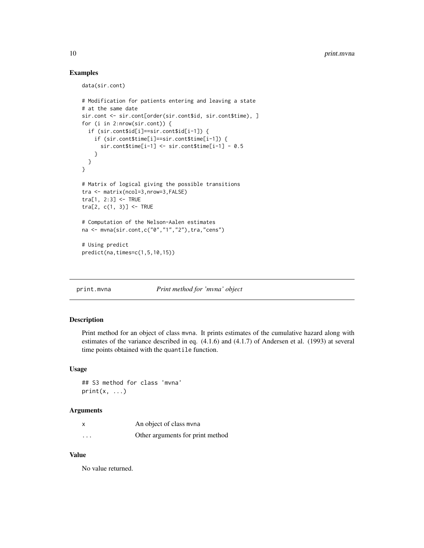## Examples

```
data(sir.cont)
```

```
# Modification for patients entering and leaving a state
# at the same date
sir.cont <- sir.cont[order(sir.cont$id, sir.cont$time), ]
for (i in 2:nrow(sir.cont)) {
  if (sir.cont$id[i]==sir.cont$id[i-1]) {
   if (sir.cont$time[i]==sir.cont$time[i-1]) {
      sir.cont$time[i-1] <- sir.cont$time[i-1] - 0.5
    }
  }
}
# Matrix of logical giving the possible transitions
tra <- matrix(ncol=3,nrow=3,FALSE)
tra[1, 2:3] <- TRUE
tra[2, c(1, 3)] <- TRUE
# Computation of the Nelson-Aalen estimates
na <- mvna(sir.cont,c("0","1","2"),tra,"cens")
# Using predict
predict(na,times=c(1,5,10,15))
```
print.mvna *Print method for 'mvna' object*

## Description

Print method for an object of class mvna. It prints estimates of the cumulative hazard along with estimates of the variance described in eq. (4.1.6) and (4.1.7) of Andersen et al. (1993) at several time points obtained with the quantile function.

## Usage

## S3 method for class 'mvna'  $print(x, \ldots)$ 

#### Arguments

|          | An object of class myna          |
|----------|----------------------------------|
| $\cdots$ | Other arguments for print method |

#### Value

No value returned.

<span id="page-9-0"></span>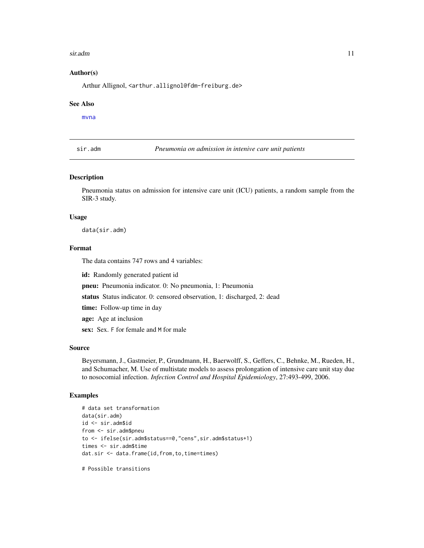#### <span id="page-10-0"></span>sir.adm 11

## Author(s)

Arthur Allignol, <arthur.allignol@fdm-freiburg.de>

#### See Also

[mvna](#page-3-1)

<span id="page-10-1"></span>sir.adm *Pneumonia on admission in intenive care unit patients*

## Description

Pneumonia status on admission for intensive care unit (ICU) patients, a random sample from the SIR-3 study.

### Usage

data(sir.adm)

#### Format

The data contains 747 rows and 4 variables:

id: Randomly generated patient id

pneu: Pneumonia indicator. 0: No pneumonia, 1: Pneumonia

status Status indicator. 0: censored observation, 1: discharged, 2: dead

time: Follow-up time in day

age: Age at inclusion

sex: Sex. F for female and M for male

#### Source

Beyersmann, J., Gastmeier, P., Grundmann, H., Baerwolff, S., Geffers, C., Behnke, M., Rueden, H., and Schumacher, M. Use of multistate models to assess prolongation of intensive care unit stay due to nosocomial infection. *Infection Control and Hospital Epidemiology*, 27:493-499, 2006.

#### Examples

```
# data set transformation
data(sir.adm)
id <- sir.adm$id
from <- sir.adm$pneu
to <- ifelse(sir.adm$status==0,"cens",sir.adm$status+1)
times <- sir.adm$time
dat.sir <- data.frame(id,from,to,time=times)
```
# Possible transitions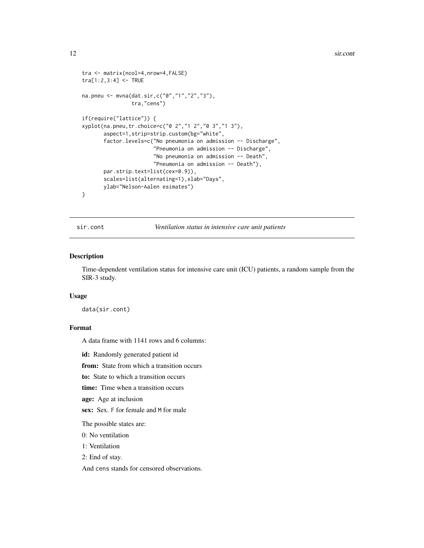```
tra <- matrix(ncol=4,nrow=4,FALSE)
tra[1:2,3:4] <- TRUE
na.pneu <- mvna(dat.sir,c("0","1","2","3"),
                tra,"cens")
if(require("lattice")) {
xyplot(na.pneu,tr.choice=c("0 2","1 2","0 3","1 3"),
      aspect=1,strip=strip.custom(bg="white",
      factor.levels=c("No pneumonia on admission -- Discharge",
                       "Pneumonia on admission -- Discharge",
                       "No pneumonia on admission -- Death",
                       "Pneumonia on admission -- Death"),
      par.strip.text=list(cex=0.9)),
      scales=list(alternating=1),xlab="Days",
      ylab="Nelson-Aalen esimates")
}
```
<span id="page-11-1"></span>sir.cont *Ventilation status in intensive care unit patients*

## Description

Time-dependent ventilation status for intensive care unit (ICU) patients, a random sample from the SIR-3 study.

## Usage

data(sir.cont)

## Format

A data frame with 1141 rows and 6 columns:

id: Randomly generated patient id

from: State from which a transition occurs

to: State to which a transition occurs

time: Time when a transition occurs

age: Age at inclusion

sex: Sex. F for female and M for male

The possible states are:

0: No ventilation

1: Ventilation

2: End of stay.

And cens stands for censored observations.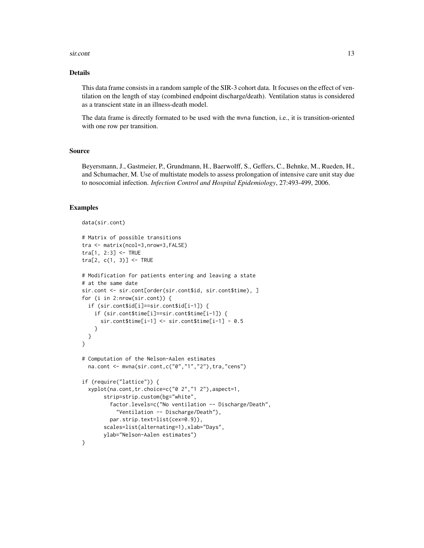#### sir.cont 13

#### Details

This data frame consists in a random sample of the SIR-3 cohort data. It focuses on the effect of ventilation on the length of stay (combined endpoint discharge/death). Ventilation status is considered as a transcient state in an illness-death model.

The data frame is directly formated to be used with the mvna function, i.e., it is transition-oriented with one row per transition.

## Source

Beyersmann, J., Gastmeier, P., Grundmann, H., Baerwolff, S., Geffers, C., Behnke, M., Rueden, H., and Schumacher, M. Use of multistate models to assess prolongation of intensive care unit stay due to nosocomial infection. *Infection Control and Hospital Epidemiology*, 27:493-499, 2006.

#### Examples

```
data(sir.cont)
# Matrix of possible transitions
tra <- matrix(ncol=3,nrow=3,FALSE)
tra[1, 2:3] <- TRUE
tra[2, c(1, 3)] <- TRUE
# Modification for patients entering and leaving a state
# at the same date
sir.cont <- sir.cont[order(sir.cont$id, sir.cont$time), ]
for (i in 2:nrow(sir.cont)) {
  if (sir.cont$id[i]==sir.cont$id[i-1]) {
    if (sir.cont$time[i]==sir.cont$time[i-1]) {
      sir.cont$time[i-1] <- sir.cont$time[i-1] - 0.5
    }
  }
}
# Computation of the Nelson-Aalen estimates
  na.cont <- mvna(sir.cont,c("0","1","2"),tra,"cens")
if (require("lattice")) {
  xyplot(na.cont,tr.choice=c("0 2","1 2"),aspect=1,
       strip=strip.custom(bg="white",
         factor.levels=c("No ventilation -- Discharge/Death",
           "Ventilation -- Discharge/Death"),
         par.strip.text=list(cex=0.9)),
       scales=list(alternating=1),xlab="Days",
       ylab="Nelson-Aalen estimates")
}
```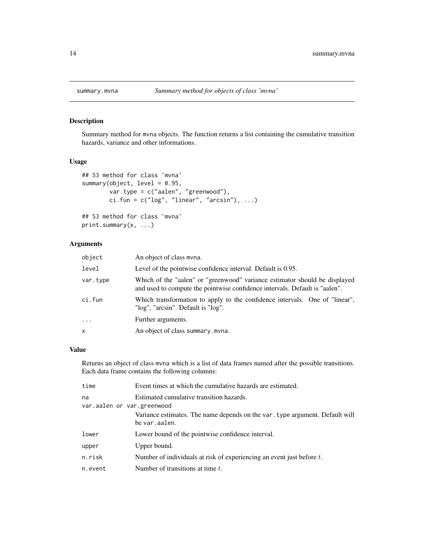<span id="page-13-1"></span><span id="page-13-0"></span>

## Description

Summary method for mvna objects. The function returns a list containing the cumulative transition hazards, variance and other informations.

### Usage

```
## S3 method for class 'mvna'
summary(object, level = 0.95,
       var.type = c("aalen", "greenwood"),
       ci.fun = c("log", "linear", "arcsin"), ...
```

```
## S3 method for class 'mvna'
print.summary(x, ...)
```
## Arguments

| object            | An object of class myna.                                                                                                                                  |
|-------------------|-----------------------------------------------------------------------------------------------------------------------------------------------------------|
| level             | Level of the pointwise confidence interval. Default is 0.95.                                                                                              |
| var.type          | Which of the "aalen" or "greenwood" variance estimator should be displayed<br>and used to compute the pointwise confidence intervals. Default is "aalen". |
| ci.fun            | Which transformation to apply to the confidence intervals. One of "linear",<br>"log", "arcsin". Default is "log".                                         |
| $\cdot\cdot\cdot$ | Further arguments.                                                                                                                                        |
| x                 | An object of class summary. mvna.                                                                                                                         |
|                   |                                                                                                                                                           |

## Value

Returns an object of class mvna which is a list of data frames named after the possible transitions. Each data frame contains the following columns:

| time                       | Event times at which the cumulative hazards are estimated.                                    |  |
|----------------------------|-----------------------------------------------------------------------------------------------|--|
| na                         | Estimated cumulative transition hazards.                                                      |  |
| var.aalen or var.greenwood |                                                                                               |  |
|                            | Variance estimates. The name depends on the var. type argument. Default will<br>be var.aalen. |  |
| lower                      | Lower bound of the pointwise confidence interval.                                             |  |
| upper                      | Upper bound.                                                                                  |  |
| n.risk                     | Number of individuals at risk of experiencing an event just before $t$ .                      |  |
| n.event                    | Number of transitions at time $t$ .                                                           |  |
|                            |                                                                                               |  |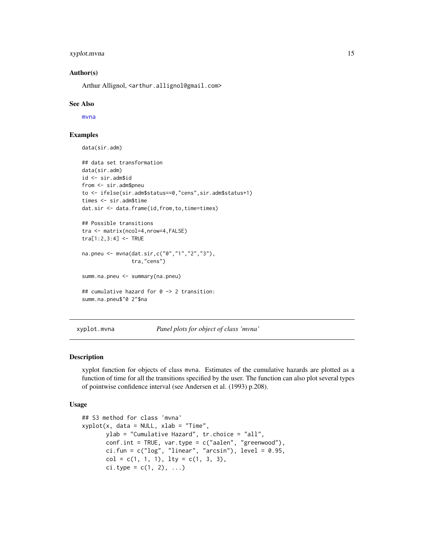## <span id="page-14-0"></span>xyplot.mvna 15

## Author(s)

Arthur Allignol, <arthur.allignol@gmail.com>

#### See Also

[mvna](#page-3-1)

## Examples

data(sir.adm)

```
## data set transformation
data(sir.adm)
id <- sir.adm$id
from <- sir.adm$pneu
to <- ifelse(sir.adm$status==0,"cens",sir.adm$status+1)
times <- sir.adm$time
dat.sir <- data.frame(id,from,to,time=times)
## Possible transitions
tra <- matrix(ncol=4,nrow=4,FALSE)
tra[1:2,3:4] <- TRUE
na.pneu <- mvna(dat.sir,c("0","1","2","3"),
                tra,"cens")
summ.na.pneu <- summary(na.pneu)
## cumulative hazard for 0 -> 2 transition:
summ.na.pneu$"0 2"$na
```
xyplot.mvna *Panel plots for object of class 'mvna'*

#### Description

xyplot function for objects of class mvna. Estimates of the cumulative hazards are plotted as a function of time for all the transitions specified by the user. The function can also plot several types of pointwise confidence interval (see Andersen et al. (1993) p.208).

#### Usage

```
## S3 method for class 'mvna'
xyplot(x, data = NULL, xlab = "Time",ylab = "Cumulative Hazard", tr.choice = "all",
      conf.int = TRUE, var.type = c("aalen", "greenwood"),
      ci.fun = c("log", "linear", "arcsin"), level = 0.95,col = c(1, 1, 1), lty = c(1, 3, 3),ci. type = c(1, 2), ...
```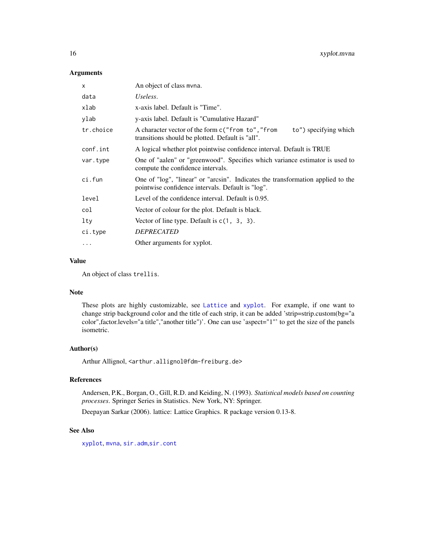## Arguments

| An object of class myna.                                                                                                             |
|--------------------------------------------------------------------------------------------------------------------------------------|
| Useless.                                                                                                                             |
| x-axis label. Default is "Time".                                                                                                     |
| y-axis label. Default is "Cumulative Hazard"                                                                                         |
| to") specifying which<br>A character vector of the form c("from to", "from<br>transitions should be plotted. Default is "all".       |
| A logical whether plot pointwise confidence interval. Default is TRUE                                                                |
| One of "aalen" or "greenwood". Specifies which variance estimator is used to<br>compute the confidence intervals.                    |
| One of "log", "linear" or "arcsin". Indicates the transformation applied to the<br>pointwise confidence intervals. Default is "log". |
| Level of the confidence interval. Default is 0.95.                                                                                   |
| Vector of colour for the plot. Default is black.                                                                                     |
| Vector of line type. Default is $c(1, 3, 3)$ .                                                                                       |
| <i><b>DEPRECATED</b></i>                                                                                                             |
| Other arguments for xyplot.                                                                                                          |
|                                                                                                                                      |

## Value

An object of class trellis.

## Note

These plots are highly customizable, see [Lattice](#page-0-0) and [xyplot](#page-0-0). For example, if one want to change strip background color and the title of each strip, it can be added 'strip=strip.custom(bg="a color",factor.levels="a title","another title")'. One can use 'aspect="1"' to get the size of the panels isometric.

## Author(s)

Arthur Allignol, <arthur.allignol@fdm-freiburg.de>

### References

Andersen, P.K., Borgan, O., Gill, R.D. and Keiding, N. (1993). *Statistical models based on counting processes*. Springer Series in Statistics. New York, NY: Springer.

Deepayan Sarkar (2006). lattice: Lattice Graphics. R package version 0.13-8.

## See Also

[xyplot](#page-0-0), [mvna](#page-3-1), [sir.adm](#page-10-1),[sir.cont](#page-11-1)

<span id="page-15-0"></span>